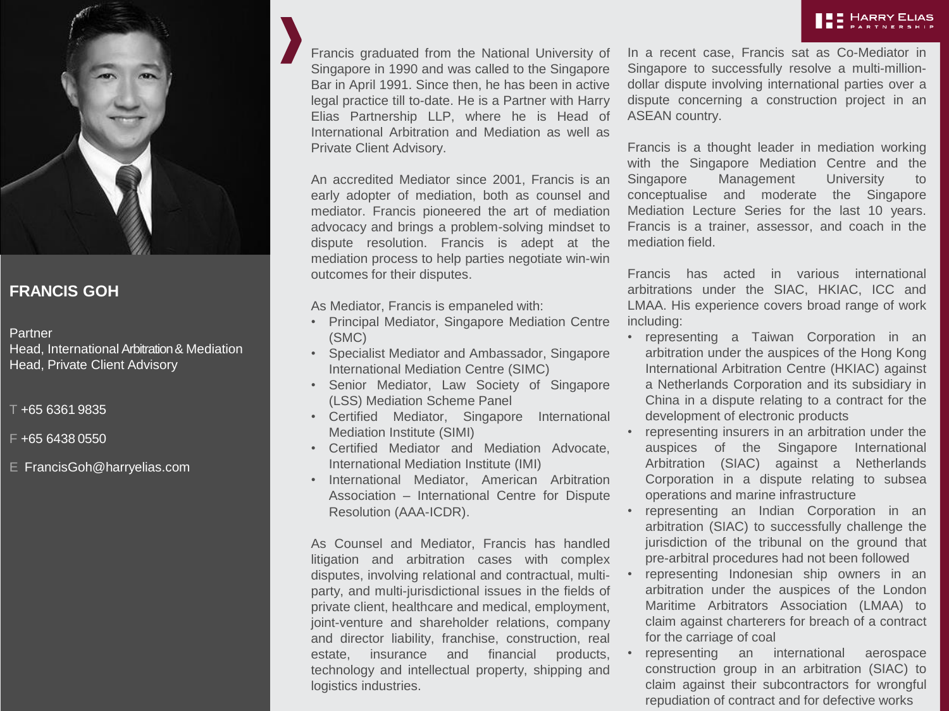



## **FRANCIS GOH**

## Partner

Head, International Arbitration& Mediation Head, Private Client Advisory

T +65 6361 9835

- F +65 6438 0550
- E FrancisGoh@harryelias.com

Francis graduated from the National University of Singapore in 1990 and was called to the Singapore Bar in April 1991. Since then, he has been in active legal practice till to-date. He is a Partner with Harry Elias Partnership LLP, where he is Head of International Arbitration and Mediation as well as Private Client Advisory.

An accredited Mediator since 2001, Francis is an early adopter of mediation, both as counsel and mediator. Francis pioneered the art of mediation advocacy and brings a problem-solving mindset to dispute resolution. Francis is adept at the mediation process to help parties negotiate win-win outcomes for their disputes.

As Mediator, Francis is empaneled with:

- Principal Mediator, Singapore Mediation Centre (SMC)
- Specialist Mediator and Ambassador, Singapore International Mediation Centre (SIMC)
- Senior Mediator, Law Society of Singapore (LSS) Mediation Scheme Panel
- Certified Mediator, Singapore International Mediation Institute (SIMI)
- Certified Mediator and Mediation Advocate, International Mediation Institute (IMI)
- International Mediator, American Arbitration Association – International Centre for Dispute Resolution (AAA-ICDR).

As Counsel and Mediator, Francis has handled litigation and arbitration cases with complex disputes, involving relational and contractual, multiparty, and multi-jurisdictional issues in the fields of private client, healthcare and medical, employment, joint-venture and shareholder relations, company and director liability, franchise, construction, real estate, insurance and financial products, technology and intellectual property, shipping and logistics industries.

In a recent case, Francis sat as Co-Mediator in Singapore to successfully resolve a multi-milliondollar dispute involving international parties over a dispute concerning a construction project in an ASEAN country.

Francis is a thought leader in mediation working with the Singapore Mediation Centre and the Singapore Management University to conceptualise and moderate the Singapore Mediation Lecture Series for the last 10 years. Francis is a trainer, assessor, and coach in the mediation field.

Francis has acted in various international arbitrations under the SIAC, HKIAC, ICC and LMAA. His experience covers broad range of work including:

- representing a Taiwan Corporation in an arbitration under the auspices of the Hong Kong International Arbitration Centre (HKIAC) against a Netherlands Corporation and its subsidiary in China in a dispute relating to a contract for the development of electronic products
- representing insurers in an arbitration under the auspices of the Singapore International Arbitration (SIAC) against a Netherlands Corporation in a dispute relating to subsea operations and marine infrastructure
- representing an Indian Corporation in an arbitration (SIAC) to successfully challenge the jurisdiction of the tribunal on the ground that pre-arbitral procedures had not been followed
- representing Indonesian ship owners in an arbitration under the auspices of the London Maritime Arbitrators Association (LMAA) to claim against charterers for breach of a contract for the carriage of coal
- representing an international aerospace construction group in an arbitration (SIAC) to claim against their subcontractors for wrongful repudiation of contract and for defective works